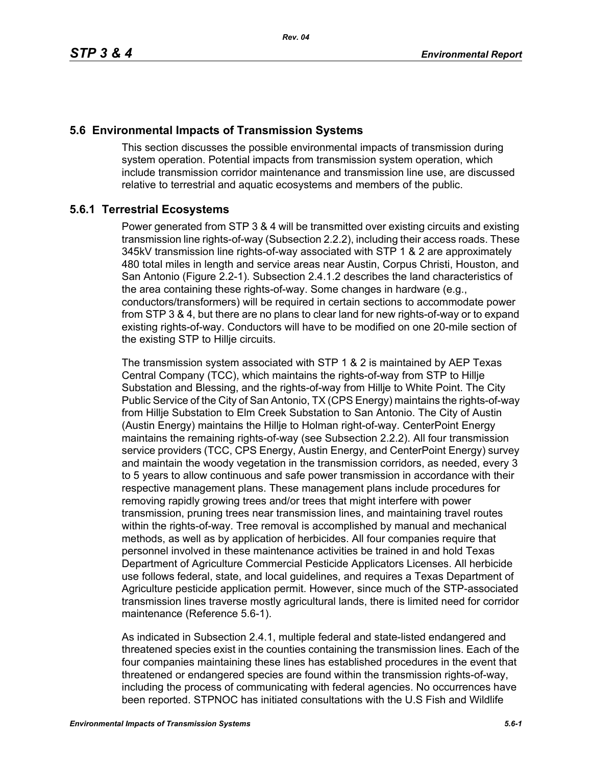## **5.6 Environmental Impacts of Transmission Systems**

This section discusses the possible environmental impacts of transmission during system operation. Potential impacts from transmission system operation, which include transmission corridor maintenance and transmission line use, are discussed relative to terrestrial and aquatic ecosystems and members of the public.

# **5.6.1 Terrestrial Ecosystems**

Power generated from STP 3 & 4 will be transmitted over existing circuits and existing transmission line rights-of-way (Subsection 2.2.2), including their access roads. These 345kV transmission line rights-of-way associated with STP 1 & 2 are approximately 480 total miles in length and service areas near Austin, Corpus Christi, Houston, and San Antonio (Figure 2.2-1). Subsection 2.4.1.2 describes the land characteristics of the area containing these rights-of-way. Some changes in hardware (e.g., conductors/transformers) will be required in certain sections to accommodate power from STP 3 & 4, but there are no plans to clear land for new rights-of-way or to expand existing rights-of-way. Conductors will have to be modified on one 20-mile section of the existing STP to Hillje circuits.

The transmission system associated with STP 1 & 2 is maintained by AEP Texas Central Company (TCC), which maintains the rights-of-way from STP to Hillje Substation and Blessing, and the rights-of-way from Hillje to White Point. The City Public Service of the City of San Antonio, TX (CPS Energy) maintains the rights-of-way from Hillje Substation to Elm Creek Substation to San Antonio. The City of Austin (Austin Energy) maintains the Hillje to Holman right-of-way. CenterPoint Energy maintains the remaining rights-of-way (see Subsection 2.2.2). All four transmission service providers (TCC, CPS Energy, Austin Energy, and CenterPoint Energy) survey and maintain the woody vegetation in the transmission corridors, as needed, every 3 to 5 years to allow continuous and safe power transmission in accordance with their respective management plans. These management plans include procedures for removing rapidly growing trees and/or trees that might interfere with power transmission, pruning trees near transmission lines, and maintaining travel routes within the rights-of-way. Tree removal is accomplished by manual and mechanical methods, as well as by application of herbicides. All four companies require that personnel involved in these maintenance activities be trained in and hold Texas Department of Agriculture Commercial Pesticide Applicators Licenses. All herbicide use follows federal, state, and local guidelines, and requires a Texas Department of Agriculture pesticide application permit. However, since much of the STP-associated transmission lines traverse mostly agricultural lands, there is limited need for corridor maintenance (Reference 5.6-1).

As indicated in Subsection 2.4.1, multiple federal and state-listed endangered and threatened species exist in the counties containing the transmission lines. Each of the four companies maintaining these lines has established procedures in the event that threatened or endangered species are found within the transmission rights-of-way, including the process of communicating with federal agencies. No occurrences have been reported. STPNOC has initiated consultations with the U.S Fish and Wildlife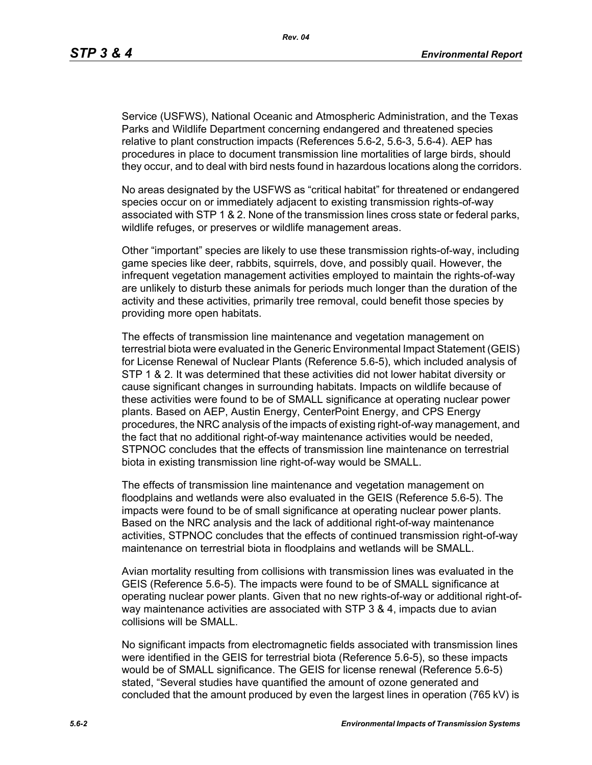Service (USFWS), National Oceanic and Atmospheric Administration, and the Texas Parks and Wildlife Department concerning endangered and threatened species relative to plant construction impacts (References 5.6-2, 5.6-3, 5.6-4). AEP has procedures in place to document transmission line mortalities of large birds, should they occur, and to deal with bird nests found in hazardous locations along the corridors.

No areas designated by the USFWS as "critical habitat" for threatened or endangered species occur on or immediately adjacent to existing transmission rights-of-way associated with STP 1 & 2. None of the transmission lines cross state or federal parks, wildlife refuges, or preserves or wildlife management areas.

Other "important" species are likely to use these transmission rights-of-way, including game species like deer, rabbits, squirrels, dove, and possibly quail. However, the infrequent vegetation management activities employed to maintain the rights-of-way are unlikely to disturb these animals for periods much longer than the duration of the activity and these activities, primarily tree removal, could benefit those species by providing more open habitats.

The effects of transmission line maintenance and vegetation management on terrestrial biota were evaluated in the Generic Environmental Impact Statement (GEIS) for License Renewal of Nuclear Plants (Reference 5.6-5), which included analysis of STP 1 & 2. It was determined that these activities did not lower habitat diversity or cause significant changes in surrounding habitats. Impacts on wildlife because of these activities were found to be of SMALL significance at operating nuclear power plants. Based on AEP, Austin Energy, CenterPoint Energy, and CPS Energy procedures, the NRC analysis of the impacts of existing right-of-way management, and the fact that no additional right-of-way maintenance activities would be needed, STPNOC concludes that the effects of transmission line maintenance on terrestrial biota in existing transmission line right-of-way would be SMALL.

The effects of transmission line maintenance and vegetation management on floodplains and wetlands were also evaluated in the GEIS (Reference 5.6-5). The impacts were found to be of small significance at operating nuclear power plants. Based on the NRC analysis and the lack of additional right-of-way maintenance activities, STPNOC concludes that the effects of continued transmission right-of-way maintenance on terrestrial biota in floodplains and wetlands will be SMALL.

Avian mortality resulting from collisions with transmission lines was evaluated in the GEIS (Reference 5.6-5). The impacts were found to be of SMALL significance at operating nuclear power plants. Given that no new rights-of-way or additional right-ofway maintenance activities are associated with STP 3 & 4, impacts due to avian collisions will be SMALL.

No significant impacts from electromagnetic fields associated with transmission lines were identified in the GEIS for terrestrial biota (Reference 5.6-5), so these impacts would be of SMALL significance. The GEIS for license renewal (Reference 5.6-5) stated, "Several studies have quantified the amount of ozone generated and concluded that the amount produced by even the largest lines in operation (765 kV) is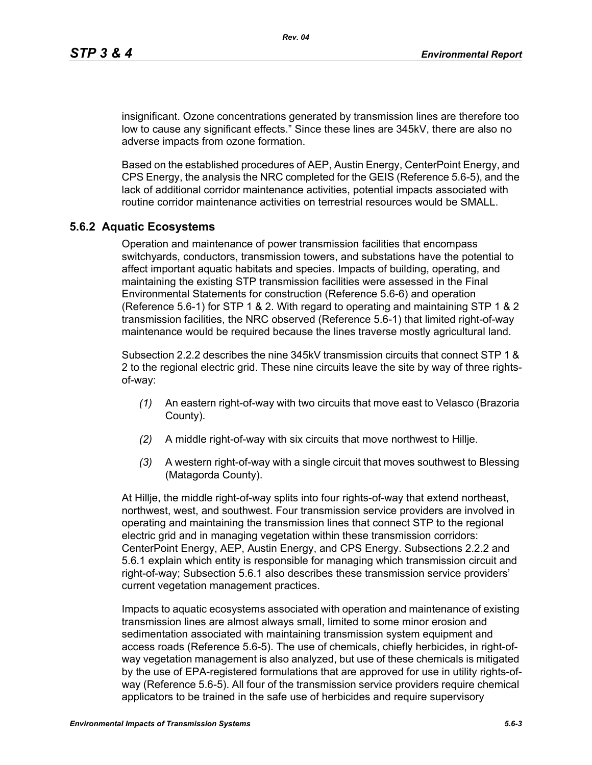insignificant. Ozone concentrations generated by transmission lines are therefore too low to cause any significant effects." Since these lines are 345kV, there are also no adverse impacts from ozone formation.

Based on the established procedures of AEP, Austin Energy, CenterPoint Energy, and CPS Energy, the analysis the NRC completed for the GEIS (Reference 5.6-5), and the lack of additional corridor maintenance activities, potential impacts associated with routine corridor maintenance activities on terrestrial resources would be SMALL.

#### **5.6.2 Aquatic Ecosystems**

Operation and maintenance of power transmission facilities that encompass switchyards, conductors, transmission towers, and substations have the potential to affect important aquatic habitats and species. Impacts of building, operating, and maintaining the existing STP transmission facilities were assessed in the Final Environmental Statements for construction (Reference 5.6-6) and operation (Reference 5.6-1) for STP 1 & 2. With regard to operating and maintaining STP 1 & 2 transmission facilities, the NRC observed (Reference 5.6-1) that limited right-of-way maintenance would be required because the lines traverse mostly agricultural land.

Subsection 2.2.2 describes the nine 345kV transmission circuits that connect STP 1 & 2 to the regional electric grid. These nine circuits leave the site by way of three rightsof-way:

- *(1)* An eastern right-of-way with two circuits that move east to Velasco (Brazoria County).
- *(2)* A middle right-of-way with six circuits that move northwest to Hillje.
- *(3)* A western right-of-way with a single circuit that moves southwest to Blessing (Matagorda County).

At Hillje, the middle right-of-way splits into four rights-of-way that extend northeast, northwest, west, and southwest. Four transmission service providers are involved in operating and maintaining the transmission lines that connect STP to the regional electric grid and in managing vegetation within these transmission corridors: CenterPoint Energy, AEP, Austin Energy, and CPS Energy. Subsections 2.2.2 and 5.6.1 explain which entity is responsible for managing which transmission circuit and right-of-way; Subsection 5.6.1 also describes these transmission service providers' current vegetation management practices.

Impacts to aquatic ecosystems associated with operation and maintenance of existing transmission lines are almost always small, limited to some minor erosion and sedimentation associated with maintaining transmission system equipment and access roads (Reference 5.6-5). The use of chemicals, chiefly herbicides, in right-ofway vegetation management is also analyzed, but use of these chemicals is mitigated by the use of EPA-registered formulations that are approved for use in utility rights-ofway (Reference 5.6-5). All four of the transmission service providers require chemical applicators to be trained in the safe use of herbicides and require supervisory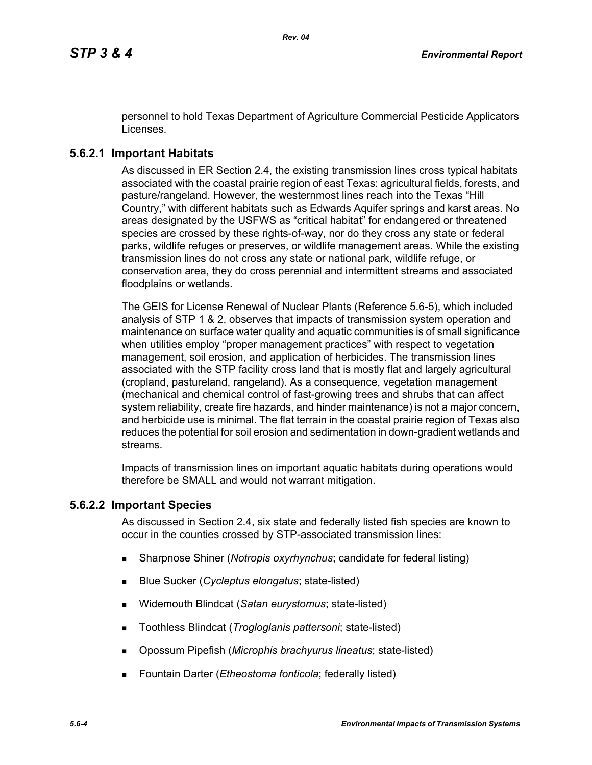personnel to hold Texas Department of Agriculture Commercial Pesticide Applicators Licenses.

## **5.6.2.1 Important Habitats**

As discussed in ER Section 2.4, the existing transmission lines cross typical habitats associated with the coastal prairie region of east Texas: agricultural fields, forests, and pasture/rangeland. However, the westernmost lines reach into the Texas "Hill Country," with different habitats such as Edwards Aquifer springs and karst areas. No areas designated by the USFWS as "critical habitat" for endangered or threatened species are crossed by these rights-of-way, nor do they cross any state or federal parks, wildlife refuges or preserves, or wildlife management areas. While the existing transmission lines do not cross any state or national park, wildlife refuge, or conservation area, they do cross perennial and intermittent streams and associated floodplains or wetlands.

The GEIS for License Renewal of Nuclear Plants (Reference 5.6-5), which included analysis of STP 1 & 2, observes that impacts of transmission system operation and maintenance on surface water quality and aquatic communities is of small significance when utilities employ "proper management practices" with respect to vegetation management, soil erosion, and application of herbicides. The transmission lines associated with the STP facility cross land that is mostly flat and largely agricultural (cropland, pastureland, rangeland). As a consequence, vegetation management (mechanical and chemical control of fast-growing trees and shrubs that can affect system reliability, create fire hazards, and hinder maintenance) is not a major concern, and herbicide use is minimal. The flat terrain in the coastal prairie region of Texas also reduces the potential for soil erosion and sedimentation in down-gradient wetlands and streams.

Impacts of transmission lines on important aquatic habitats during operations would therefore be SMALL and would not warrant mitigation.

## **5.6.2.2 Important Species**

As discussed in Section 2.4, six state and federally listed fish species are known to occur in the counties crossed by STP-associated transmission lines:

- Sharpnose Shiner (*Notropis oxyrhynchus*; candidate for federal listing)
- Blue Sucker (*Cycleptus elongatus*; state-listed)
- Widemouth Blindcat (*Satan eurystomus*; state-listed)
- Toothless Blindcat (*Trogloglanis pattersoni*; state-listed)
- Opossum Pipefish (*Microphis brachyurus lineatus*; state-listed)
- Fountain Darter (*Etheostoma fonticola*; federally listed)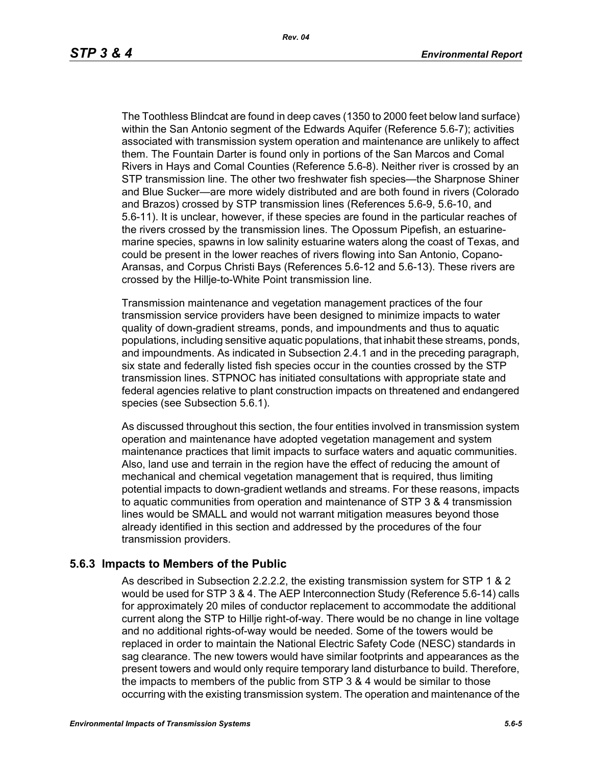The Toothless Blindcat are found in deep caves (1350 to 2000 feet below land surface) within the San Antonio segment of the Edwards Aquifer (Reference 5.6-7); activities associated with transmission system operation and maintenance are unlikely to affect them. The Fountain Darter is found only in portions of the San Marcos and Comal Rivers in Hays and Comal Counties (Reference 5.6-8). Neither river is crossed by an STP transmission line. The other two freshwater fish species—the Sharpnose Shiner and Blue Sucker—are more widely distributed and are both found in rivers (Colorado and Brazos) crossed by STP transmission lines (References 5.6-9, 5.6-10, and 5.6-11). It is unclear, however, if these species are found in the particular reaches of the rivers crossed by the transmission lines. The Opossum Pipefish, an estuarinemarine species, spawns in low salinity estuarine waters along the coast of Texas, and could be present in the lower reaches of rivers flowing into San Antonio, Copano-Aransas, and Corpus Christi Bays (References 5.6-12 and 5.6-13). These rivers are crossed by the Hillje-to-White Point transmission line.

Transmission maintenance and vegetation management practices of the four transmission service providers have been designed to minimize impacts to water quality of down-gradient streams, ponds, and impoundments and thus to aquatic populations, including sensitive aquatic populations, that inhabit these streams, ponds, and impoundments. As indicated in Subsection 2.4.1 and in the preceding paragraph, six state and federally listed fish species occur in the counties crossed by the STP transmission lines. STPNOC has initiated consultations with appropriate state and federal agencies relative to plant construction impacts on threatened and endangered species (see Subsection 5.6.1).

As discussed throughout this section, the four entities involved in transmission system operation and maintenance have adopted vegetation management and system maintenance practices that limit impacts to surface waters and aquatic communities. Also, land use and terrain in the region have the effect of reducing the amount of mechanical and chemical vegetation management that is required, thus limiting potential impacts to down-gradient wetlands and streams. For these reasons, impacts to aquatic communities from operation and maintenance of STP 3 & 4 transmission lines would be SMALL and would not warrant mitigation measures beyond those already identified in this section and addressed by the procedures of the four transmission providers.

#### **5.6.3 Impacts to Members of the Public**

As described in Subsection 2.2.2.2, the existing transmission system for STP 1 & 2 would be used for STP 3 & 4. The AEP Interconnection Study (Reference 5.6-14) calls for approximately 20 miles of conductor replacement to accommodate the additional current along the STP to Hillje right-of-way. There would be no change in line voltage and no additional rights-of-way would be needed. Some of the towers would be replaced in order to maintain the National Electric Safety Code (NESC) standards in sag clearance. The new towers would have similar footprints and appearances as the present towers and would only require temporary land disturbance to build. Therefore, the impacts to members of the public from STP 3 & 4 would be similar to those occurring with the existing transmission system. The operation and maintenance of the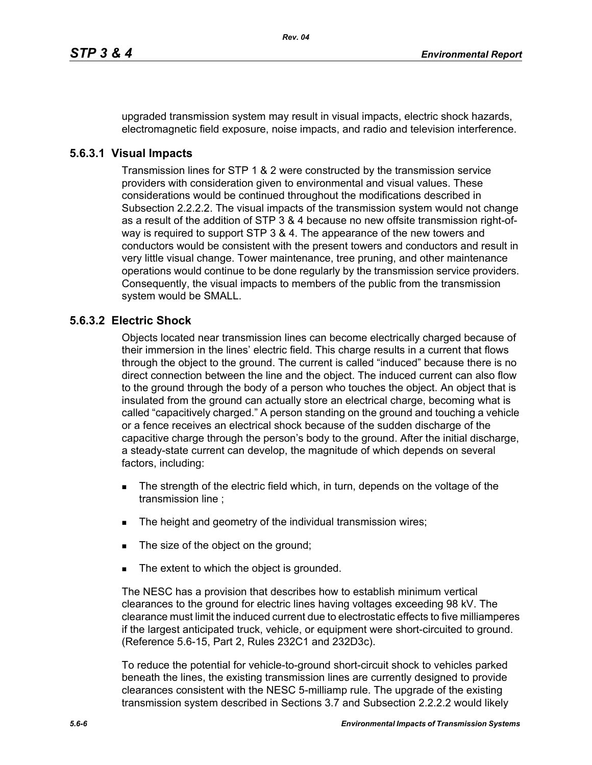upgraded transmission system may result in visual impacts, electric shock hazards, electromagnetic field exposure, noise impacts, and radio and television interference.

### **5.6.3.1 Visual Impacts**

Transmission lines for STP 1 & 2 were constructed by the transmission service providers with consideration given to environmental and visual values. These considerations would be continued throughout the modifications described in Subsection 2.2.2.2. The visual impacts of the transmission system would not change as a result of the addition of STP 3 & 4 because no new offsite transmission right-ofway is required to support STP 3 & 4. The appearance of the new towers and conductors would be consistent with the present towers and conductors and result in very little visual change. Tower maintenance, tree pruning, and other maintenance operations would continue to be done regularly by the transmission service providers. Consequently, the visual impacts to members of the public from the transmission system would be SMALL.

## **5.6.3.2 Electric Shock**

Objects located near transmission lines can become electrically charged because of their immersion in the lines' electric field. This charge results in a current that flows through the object to the ground. The current is called "induced" because there is no direct connection between the line and the object. The induced current can also flow to the ground through the body of a person who touches the object. An object that is insulated from the ground can actually store an electrical charge, becoming what is called "capacitively charged." A person standing on the ground and touching a vehicle or a fence receives an electrical shock because of the sudden discharge of the capacitive charge through the person's body to the ground. After the initial discharge, a steady-state current can develop, the magnitude of which depends on several factors, including:

- The strength of the electric field which, in turn, depends on the voltage of the transmission line ;
- The height and geometry of the individual transmission wires;
- The size of the object on the ground;
- The extent to which the object is grounded.

The NESC has a provision that describes how to establish minimum vertical clearances to the ground for electric lines having voltages exceeding 98 kV. The clearance must limit the induced current due to electrostatic effects to five milliamperes if the largest anticipated truck, vehicle, or equipment were short-circuited to ground. (Reference 5.6-15, Part 2, Rules 232C1 and 232D3c).

To reduce the potential for vehicle-to-ground short-circuit shock to vehicles parked beneath the lines, the existing transmission lines are currently designed to provide clearances consistent with the NESC 5-milliamp rule. The upgrade of the existing transmission system described in Sections 3.7 and Subsection 2.2.2.2 would likely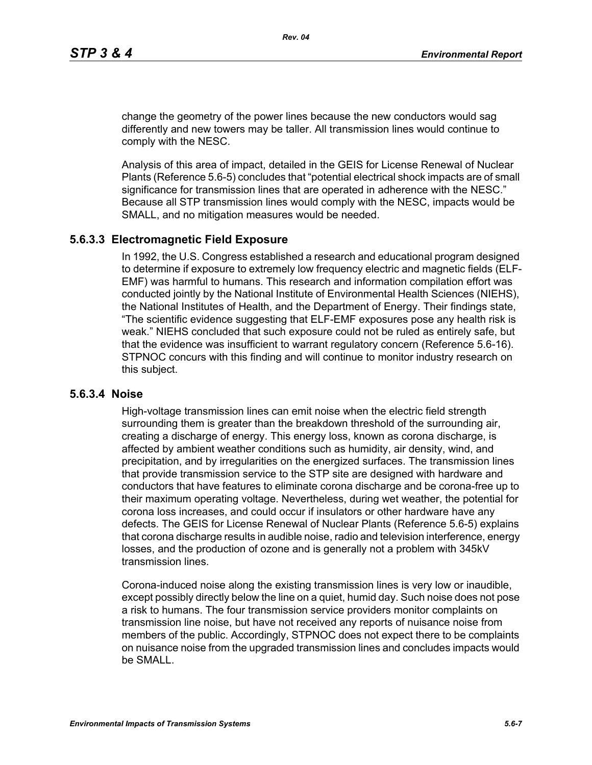change the geometry of the power lines because the new conductors would sag differently and new towers may be taller. All transmission lines would continue to comply with the NESC.

Analysis of this area of impact, detailed in the GEIS for License Renewal of Nuclear Plants (Reference 5.6-5) concludes that "potential electrical shock impacts are of small significance for transmission lines that are operated in adherence with the NESC." Because all STP transmission lines would comply with the NESC, impacts would be SMALL, and no mitigation measures would be needed.

#### **5.6.3.3 Electromagnetic Field Exposure**

In 1992, the U.S. Congress established a research and educational program designed to determine if exposure to extremely low frequency electric and magnetic fields (ELF-EMF) was harmful to humans. This research and information compilation effort was conducted jointly by the National Institute of Environmental Health Sciences (NIEHS), the National Institutes of Health, and the Department of Energy. Their findings state, "The scientific evidence suggesting that ELF-EMF exposures pose any health risk is weak." NIEHS concluded that such exposure could not be ruled as entirely safe, but that the evidence was insufficient to warrant regulatory concern (Reference 5.6-16). STPNOC concurs with this finding and will continue to monitor industry research on this subject.

#### **5.6.3.4 Noise**

High-voltage transmission lines can emit noise when the electric field strength surrounding them is greater than the breakdown threshold of the surrounding air, creating a discharge of energy. This energy loss, known as corona discharge, is affected by ambient weather conditions such as humidity, air density, wind, and precipitation, and by irregularities on the energized surfaces. The transmission lines that provide transmission service to the STP site are designed with hardware and conductors that have features to eliminate corona discharge and be corona-free up to their maximum operating voltage. Nevertheless, during wet weather, the potential for corona loss increases, and could occur if insulators or other hardware have any defects. The GEIS for License Renewal of Nuclear Plants (Reference 5.6-5) explains that corona discharge results in audible noise, radio and television interference, energy losses, and the production of ozone and is generally not a problem with 345kV transmission lines.

Corona-induced noise along the existing transmission lines is very low or inaudible, except possibly directly below the line on a quiet, humid day. Such noise does not pose a risk to humans. The four transmission service providers monitor complaints on transmission line noise, but have not received any reports of nuisance noise from members of the public. Accordingly, STPNOC does not expect there to be complaints on nuisance noise from the upgraded transmission lines and concludes impacts would be SMALL.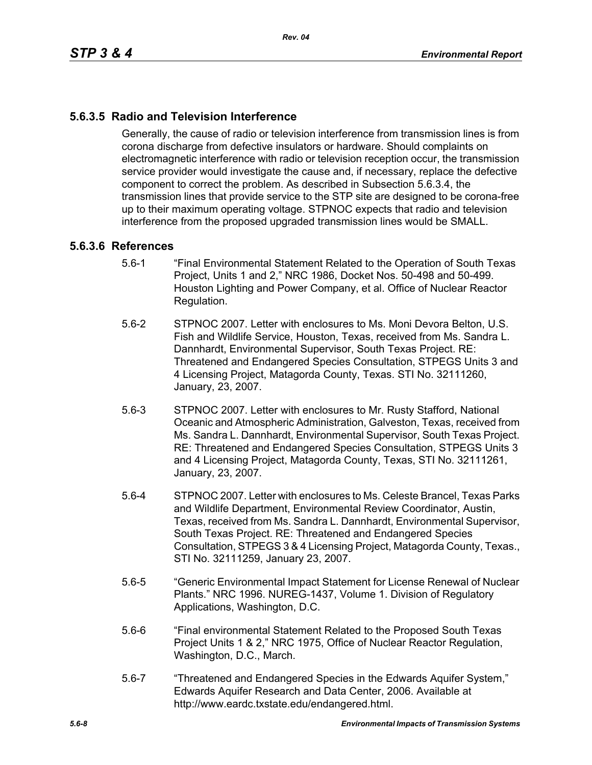# **5.6.3.5 Radio and Television Interference**

Generally, the cause of radio or television interference from transmission lines is from corona discharge from defective insulators or hardware. Should complaints on electromagnetic interference with radio or television reception occur, the transmission service provider would investigate the cause and, if necessary, replace the defective component to correct the problem. As described in Subsection 5.6.3.4, the transmission lines that provide service to the STP site are designed to be corona-free up to their maximum operating voltage. STPNOC expects that radio and television interference from the proposed upgraded transmission lines would be SMALL.

#### **5.6.3.6 References**

- 5.6-1 "Final Environmental Statement Related to the Operation of South Texas Project, Units 1 and 2," NRC 1986, Docket Nos. 50-498 and 50-499. Houston Lighting and Power Company, et al. Office of Nuclear Reactor Regulation.
- 5.6-2 STPNOC 2007. Letter with enclosures to Ms. Moni Devora Belton, U.S. Fish and Wildlife Service, Houston, Texas, received from Ms. Sandra L. Dannhardt, Environmental Supervisor, South Texas Project. RE: Threatened and Endangered Species Consultation, STPEGS Units 3 and 4 Licensing Project, Matagorda County, Texas. STI No. 32111260, January, 23, 2007.
- 5.6-3 STPNOC 2007. Letter with enclosures to Mr. Rusty Stafford, National Oceanic and Atmospheric Administration, Galveston, Texas, received from Ms. Sandra L. Dannhardt, Environmental Supervisor, South Texas Project. RE: Threatened and Endangered Species Consultation, STPEGS Units 3 and 4 Licensing Project, Matagorda County, Texas, STI No. 32111261, January, 23, 2007.
- 5.6-4 STPNOC 2007. Letter with enclosures to Ms. Celeste Brancel, Texas Parks and Wildlife Department, Environmental Review Coordinator, Austin, Texas, received from Ms. Sandra L. Dannhardt, Environmental Supervisor, South Texas Project. RE: Threatened and Endangered Species Consultation, STPEGS 3 & 4 Licensing Project, Matagorda County, Texas., STI No. 32111259, January 23, 2007.
- 5.6-5 "Generic Environmental Impact Statement for License Renewal of Nuclear Plants." NRC 1996. NUREG-1437, Volume 1. Division of Regulatory Applications, Washington, D.C.
- 5.6-6 "Final environmental Statement Related to the Proposed South Texas Project Units 1 & 2," NRC 1975, Office of Nuclear Reactor Regulation, Washington, D.C., March.
- 5.6-7 "Threatened and Endangered Species in the Edwards Aquifer System," Edwards Aquifer Research and Data Center, 2006. Available at http://www.eardc.txstate.edu/endangered.html.